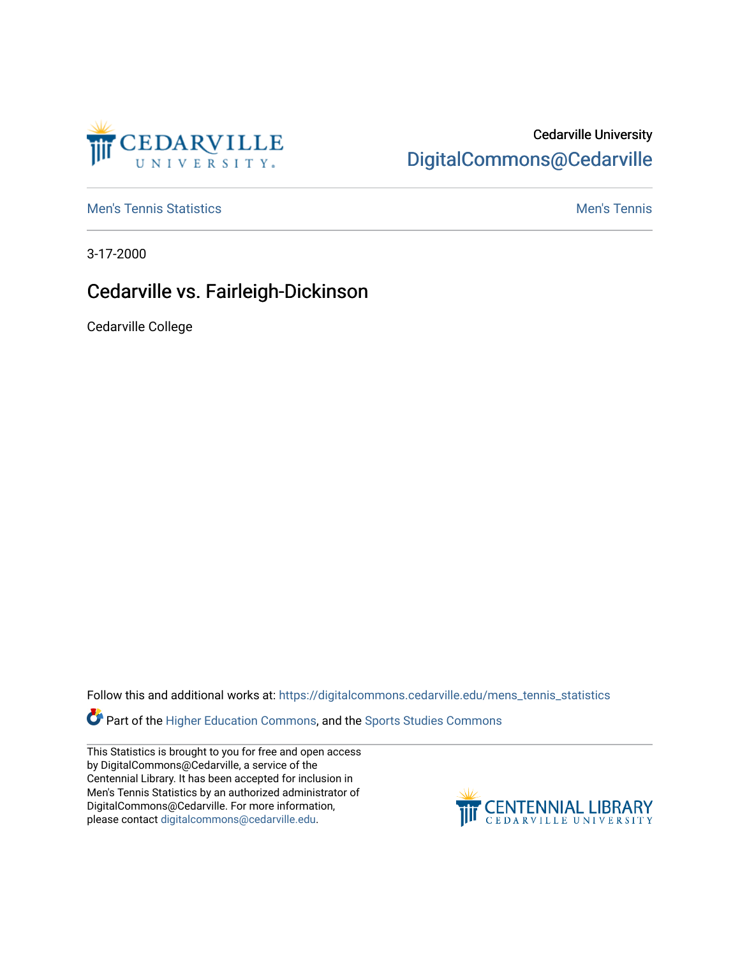

## Cedarville University [DigitalCommons@Cedarville](https://digitalcommons.cedarville.edu/)

**[Men's Tennis Statistics](https://digitalcommons.cedarville.edu/mens_tennis_statistics) Mental According to the Control of Control According Mental Men's Tennis** 

3-17-2000

## Cedarville vs. Fairleigh-Dickinson

Cedarville College

Follow this and additional works at: [https://digitalcommons.cedarville.edu/mens\\_tennis\\_statistics](https://digitalcommons.cedarville.edu/mens_tennis_statistics?utm_source=digitalcommons.cedarville.edu%2Fmens_tennis_statistics%2F447&utm_medium=PDF&utm_campaign=PDFCoverPages)

Part of the [Higher Education Commons,](http://network.bepress.com/hgg/discipline/1245?utm_source=digitalcommons.cedarville.edu%2Fmens_tennis_statistics%2F447&utm_medium=PDF&utm_campaign=PDFCoverPages) and the [Sports Studies Commons](http://network.bepress.com/hgg/discipline/1198?utm_source=digitalcommons.cedarville.edu%2Fmens_tennis_statistics%2F447&utm_medium=PDF&utm_campaign=PDFCoverPages) 

This Statistics is brought to you for free and open access by DigitalCommons@Cedarville, a service of the Centennial Library. It has been accepted for inclusion in Men's Tennis Statistics by an authorized administrator of DigitalCommons@Cedarville. For more information, please contact [digitalcommons@cedarville.edu](mailto:digitalcommons@cedarville.edu).